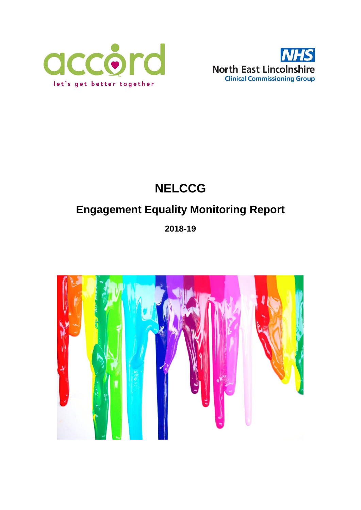



# **NELCCG**

# **Engagement Equality Monitoring Report**

## **2018-19**

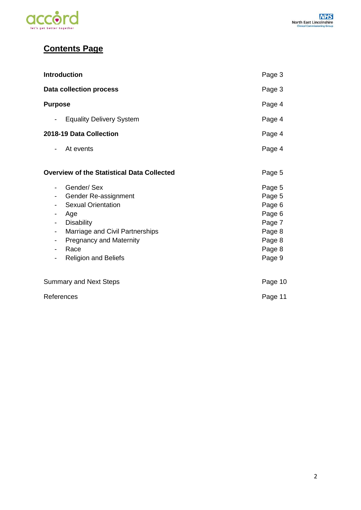

## **Contents Page**

| <b>Introduction</b>                                                                                                                                                                                               | Page 3                                                                                 |
|-------------------------------------------------------------------------------------------------------------------------------------------------------------------------------------------------------------------|----------------------------------------------------------------------------------------|
| <b>Data collection process</b>                                                                                                                                                                                    | Page 3                                                                                 |
| <b>Purpose</b>                                                                                                                                                                                                    | Page 4                                                                                 |
| <b>Equality Delivery System</b><br>-                                                                                                                                                                              | Page 4                                                                                 |
| 2018-19 Data Collection                                                                                                                                                                                           | Page 4                                                                                 |
| At events<br>-                                                                                                                                                                                                    | Page 4                                                                                 |
| <b>Overview of the Statistical Data Collected</b>                                                                                                                                                                 | Page 5                                                                                 |
| Gender/Sex<br>-<br>Gender Re-assignment<br><b>Sexual Orientation</b><br>Age<br><b>Disability</b><br>Marriage and Civil Partnerships<br>-<br><b>Pregnancy and Maternity</b><br>Race<br><b>Religion and Beliefs</b> | Page 5<br>Page 5<br>Page 6<br>Page 6<br>Page 7<br>Page 8<br>Page 8<br>Page 8<br>Page 9 |
| <b>Summary and Next Steps</b>                                                                                                                                                                                     | Page 10                                                                                |
| References                                                                                                                                                                                                        | Page 11                                                                                |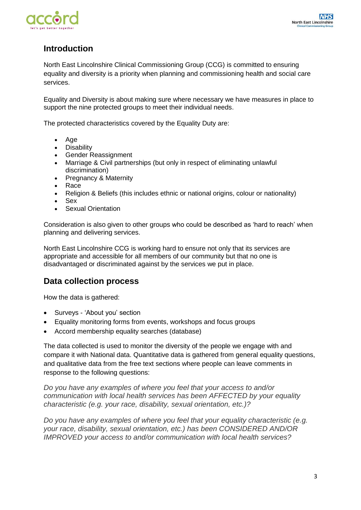

## **Introduction**

North East Lincolnshire Clinical Commissioning Group (CCG) is committed to ensuring equality and diversity is a priority when planning and commissioning health and social care services.

Equality and Diversity is about making sure where necessary we have measures in place to support the nine protected groups to meet their individual needs.

The protected characteristics covered by the Equality Duty are:

- Age
- Disability
- Gender Reassignment
- Marriage & Civil partnerships (but only in respect of eliminating unlawful discrimination)
- Pregnancy & Maternity
- Race
- Religion & Beliefs (this includes ethnic or national origins, colour or nationality)
- Sex
- Sexual Orientation

Consideration is also given to other groups who could be described as 'hard to reach' when planning and delivering services.

North East Lincolnshire CCG is working hard to ensure not only that its services are appropriate and accessible for all members of our community but that no one is disadvantaged or discriminated against by the services we put in place.

### **Data collection process**

How the data is gathered:

- Surveys 'About you' section
- Equality monitoring forms from events, workshops and focus groups
- Accord membership equality searches (database)

The data collected is used to monitor the diversity of the people we engage with and compare it with National data. Quantitative data is gathered from general equality questions, and qualitative data from the free text sections where people can leave comments in response to the following questions:

*Do you have any examples of where you feel that your access to and/or communication with local health services has been AFFECTED by your equality characteristic (e.g. your race, disability, sexual orientation, etc.)?*

*Do you have any examples of where you feel that your equality characteristic (e.g. your race, disability, sexual orientation, etc.) has been CONSIDERED AND/OR IMPROVED your access to and/or communication with local health services?*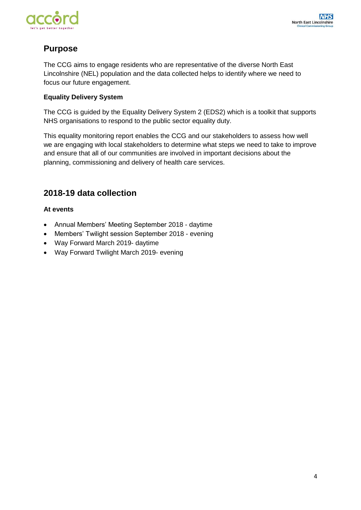

## **Purpose**

The CCG aims to engage residents who are representative of the diverse North East Lincolnshire (NEL) population and the data collected helps to identify where we need to focus our future engagement.

#### **Equality Delivery System**

The CCG is guided by the Equality Delivery System 2 (EDS2) which is a toolkit that supports NHS organisations to respond to the public sector equality duty.

This equality monitoring report enables the CCG and our stakeholders to assess how well we are engaging with local stakeholders to determine what steps we need to take to improve and ensure that all of our communities are involved in important decisions about the planning, commissioning and delivery of health care services.

## **2018-19 data collection**

#### **At events**

- Annual Members' Meeting September 2018 daytime
- Members' Twilight session September 2018 evening
- Way Forward March 2019- daytime
- Way Forward Twilight March 2019- evening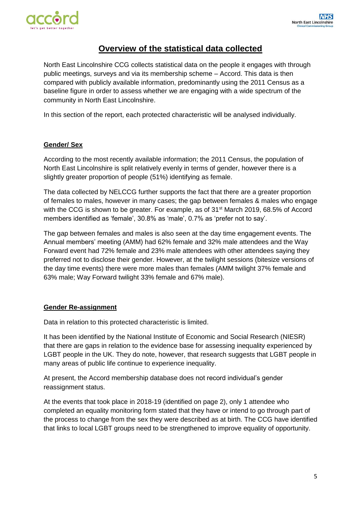

### **Overview of the statistical data collected**

North East Lincolnshire CCG collects statistical data on the people it engages with through public meetings, surveys and via its membership scheme – Accord. This data is then compared with publicly available information, predominantly using the 2011 Census as a baseline figure in order to assess whether we are engaging with a wide spectrum of the community in North East Lincolnshire.

In this section of the report, each protected characteristic will be analysed individually.

#### **Gender/ Sex**

According to the most recently available information; the 2011 Census, the population of North East Lincolnshire is split relatively evenly in terms of gender, however there is a slightly greater proportion of people (51%) identifying as female.

The data collected by NELCCG further supports the fact that there are a greater proportion of females to males, however in many cases; the gap between females & males who engage with the CCG is shown to be greater. For example, as of 31<sup>st</sup> March 2019, 68.5% of Accord members identified as 'female', 30.8% as 'male', 0.7% as 'prefer not to say'.

The gap between females and males is also seen at the day time engagement events. The Annual members' meeting (AMM) had 62% female and 32% male attendees and the Way Forward event had 72% female and 23% male attendees with other attendees saying they preferred not to disclose their gender. However, at the twilight sessions (bitesize versions of the day time events) there were more males than females (AMM twilight 37% female and 63% male; Way Forward twilight 33% female and 67% male).

#### **Gender Re-assignment**

Data in relation to this protected characteristic is limited.

It has been identified by the National Institute of Economic and Social Research (NIESR) that there are gaps in relation to the evidence base for assessing inequality experienced by LGBT people in the UK. They do note, however, that research suggests that LGBT people in many areas of public life continue to experience inequality.

At present, the Accord membership database does not record individual's gender reassignment status.

At the events that took place in 2018-19 (identified on page 2), only 1 attendee who completed an equality monitoring form stated that they have or intend to go through part of the process to change from the sex they were described as at birth. The CCG have identified that links to local LGBT groups need to be strengthened to improve equality of opportunity.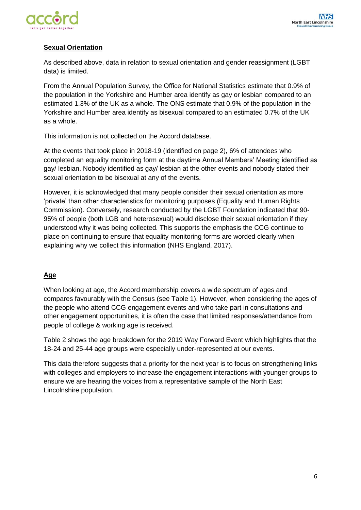

#### **Sexual Orientation**

As described above, data in relation to sexual orientation and gender reassignment (LGBT data) is limited.

From the Annual Population Survey, the Office for National Statistics estimate that 0.9% of the population in the Yorkshire and Humber area identify as gay or lesbian compared to an estimated 1.3% of the UK as a whole. The ONS estimate that 0.9% of the population in the Yorkshire and Humber area identify as bisexual compared to an estimated 0.7% of the UK as a whole.

This information is not collected on the Accord database.

At the events that took place in 2018-19 (identified on page 2), 6% of attendees who completed an equality monitoring form at the daytime Annual Members' Meeting identified as gay/ lesbian. Nobody identified as gay/ lesbian at the other events and nobody stated their sexual orientation to be bisexual at any of the events.

However, it is acknowledged that many people consider their sexual orientation as more 'private' than other characteristics for monitoring purposes (Equality and Human Rights Commission). Conversely, research conducted by the LGBT Foundation indicated that 90- 95% of people (both LGB and heterosexual) would disclose their sexual orientation if they understood why it was being collected. This supports the emphasis the CCG continue to place on continuing to ensure that equality monitoring forms are worded clearly when explaining why we collect this information (NHS England, 2017).

#### **Age**

When looking at age, the Accord membership covers a wide spectrum of ages and compares favourably with the Census (see Table 1). However, when considering the ages of the people who attend CCG engagement events and who take part in consultations and other engagement opportunities, it is often the case that limited responses/attendance from people of college & working age is received.

Table 2 shows the age breakdown for the 2019 Way Forward Event which highlights that the 18-24 and 25-44 age groups were especially under-represented at our events.

This data therefore suggests that a priority for the next year is to focus on strengthening links with colleges and employers to increase the engagement interactions with younger groups to ensure we are hearing the voices from a representative sample of the North East Lincolnshire population.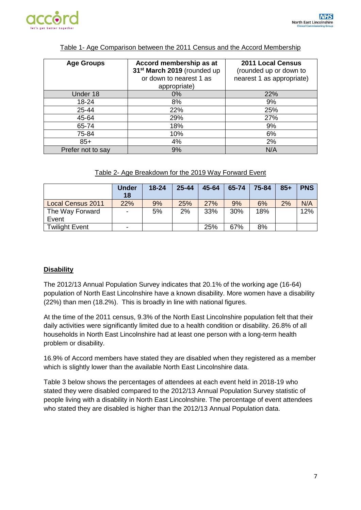

| <b>Age Groups</b> | Accord membership as at<br>31 <sup>st</sup> March 2019 (rounded up<br>or down to nearest 1 as<br>appropriate) | 2011 Local Census<br>(rounded up or down to<br>nearest 1 as appropriate) |  |  |  |
|-------------------|---------------------------------------------------------------------------------------------------------------|--------------------------------------------------------------------------|--|--|--|
| Under 18          | 0%                                                                                                            | 22%                                                                      |  |  |  |
| 18-24             | 8%                                                                                                            | 9%                                                                       |  |  |  |
| 25-44             | 22%                                                                                                           | 25%                                                                      |  |  |  |
| 45-64             | 29%                                                                                                           | 27%                                                                      |  |  |  |
| 65-74             | 18%                                                                                                           | 9%                                                                       |  |  |  |
| 75-84             | 10%                                                                                                           | 6%                                                                       |  |  |  |
| $85+$             | 4%                                                                                                            | 2%                                                                       |  |  |  |
| Prefer not to say | 9%                                                                                                            | N/A                                                                      |  |  |  |

#### Table 1- Age Comparison between the 2011 Census and the Accord Membership

| Table 2- Age Breakdown for the 2019 Way Forward Event |
|-------------------------------------------------------|
|-------------------------------------------------------|

|                          | <b>Under</b><br>18       | $18 - 24$ | $25 - 44$ | 45-64 | 65-74 | 75-84 | $85+$ | <b>PNS</b> |
|--------------------------|--------------------------|-----------|-----------|-------|-------|-------|-------|------------|
| <b>Local Census 2011</b> | 22%                      | 9%        | 25%       | 27%   | 9%    | 6%    | 2%    | N/A        |
| The Way Forward          | $\blacksquare$           | 5%        | 2%        | 33%   | 30%   | 18%   |       | 12%        |
| Event                    |                          |           |           |       |       |       |       |            |
| <b>Twilight Event</b>    | $\overline{\phantom{0}}$ |           |           | 25%   | 67%   | 8%    |       |            |

#### **Disability**

The 2012/13 Annual Population Survey indicates that 20.1% of the working age (16-64) population of North East Lincolnshire have a known disability. More women have a disability (22%) than men (18.2%). This is broadly in line with national figures.

At the time of the 2011 census, 9.3% of the North East Lincolnshire population felt that their daily activities were significantly limited due to a health condition or disability. 26.8% of all households in North East Lincolnshire had at least one person with a long-term health problem or disability.

16.9% of Accord members have stated they are disabled when they registered as a member which is slightly lower than the available North East Lincolnshire data.

Table 3 below shows the percentages of attendees at each event held in 2018-19 who stated they were disabled compared to the 2012/13 Annual Population Survey statistic of people living with a disability in North East Lincolnshire. The percentage of event attendees who stated they are disabled is higher than the 2012/13 Annual Population data.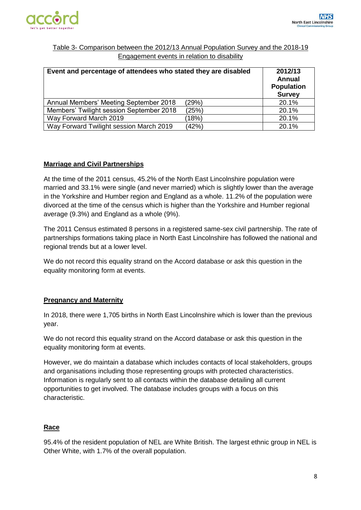

#### Table 3- Comparison between the 2012/13 Annual Population Survey and the 2018-19 Engagement events in relation to disability

| Event and percentage of attendees who stated they are disabled | 2012/13<br>Annual<br><b>Population</b><br><b>Survey</b> |       |
|----------------------------------------------------------------|---------------------------------------------------------|-------|
| Annual Members' Meeting September 2018                         | (29%)                                                   | 20.1% |
| Members' Twilight session September 2018                       | (25%)                                                   | 20.1% |
| Way Forward March 2019                                         | (18%)                                                   | 20.1% |
| Way Forward Twilight session March 2019                        | (42%)                                                   | 20.1% |

#### **Marriage and Civil Partnerships**

At the time of the 2011 census, 45.2% of the North East Lincolnshire population were married and 33.1% were single (and never married) which is slightly lower than the average in the Yorkshire and Humber region and England as a whole. 11.2% of the population were divorced at the time of the census which is higher than the Yorkshire and Humber regional average (9.3%) and England as a whole (9%).

The 2011 Census estimated 8 persons in a registered same-sex civil partnership. The rate of partnerships formations taking place in North East Lincolnshire has followed the national and regional trends but at a lower level.

We do not record this equality strand on the Accord database or ask this question in the equality monitoring form at events.

#### **Pregnancy and Maternity**

In 2018, there were 1,705 births in North East Lincolnshire which is lower than the previous year.

We do not record this equality strand on the Accord database or ask this question in the equality monitoring form at events.

However, we do maintain a database which includes contacts of local stakeholders, groups and organisations including those representing groups with protected characteristics. Information is regularly sent to all contacts within the database detailing all current opportunities to get involved. The database includes groups with a focus on this characteristic.

#### **Race**

95.4% of the resident population of NEL are White British. The largest ethnic group in NEL is Other White, with 1.7% of the overall population.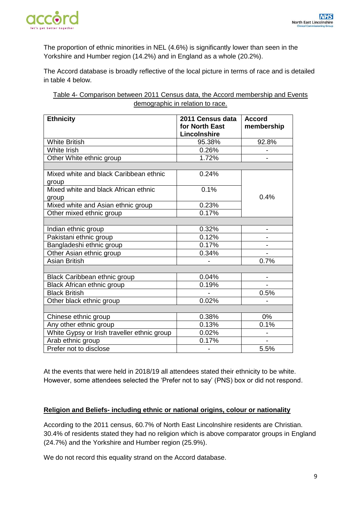

The proportion of ethnic minorities in NEL (4.6%) is significantly lower than seen in the Yorkshire and Humber region (14.2%) and in England as a whole (20.2%).

The Accord database is broadly reflective of the local picture in terms of race and is detailed in table 4 below.

Table 4- Comparison between 2011 Census data, the Accord membership and Events demographic in relation to race.

| <b>Ethnicity</b>                            | 2011 Census data<br>for North East | <b>Accord</b><br>membership |  |
|---------------------------------------------|------------------------------------|-----------------------------|--|
|                                             | Lincolnshire                       |                             |  |
| <b>White British</b>                        | 95.38%                             | 92.8%                       |  |
| <b>White Irish</b>                          | 0.26%                              |                             |  |
| Other White ethnic group                    | 1.72%                              |                             |  |
|                                             |                                    |                             |  |
| Mixed white and black Caribbean ethnic      | 0.24%                              |                             |  |
| group                                       |                                    |                             |  |
| Mixed white and black African ethnic        | 0.1%                               |                             |  |
| group                                       |                                    | 0.4%                        |  |
| Mixed white and Asian ethnic group          | 0.23%                              |                             |  |
| Other mixed ethnic group                    | 0.17%                              |                             |  |
|                                             |                                    |                             |  |
| Indian ethnic group                         | 0.32%                              | -                           |  |
| Pakistani ethnic group                      | 0.12%                              |                             |  |
| Bangladeshi ethnic group                    | 0.17%                              |                             |  |
| Other Asian ethnic group                    | 0.34%                              |                             |  |
| Asian British                               |                                    | 0.7%                        |  |
|                                             |                                    |                             |  |
| Black Caribbean ethnic group                | 0.04%                              | $\blacksquare$              |  |
| Black African ethnic group                  | 0.19%                              |                             |  |
| <b>Black British</b>                        |                                    | 0.5%                        |  |
| Other black ethnic group                    | 0.02%                              |                             |  |
|                                             |                                    |                             |  |
| Chinese ethnic group                        | 0.38%                              | 0%                          |  |
| Any other ethnic group                      | 0.13%                              | 0.1%                        |  |
| White Gypsy or Irish traveller ethnic group | 0.02%                              |                             |  |
| Arab ethnic group                           | 0.17%                              |                             |  |
| Prefer not to disclose                      |                                    | 5.5%                        |  |

At the events that were held in 2018/19 all attendees stated their ethnicity to be white. However, some attendees selected the 'Prefer not to say' (PNS) box or did not respond.

#### **Religion and Beliefs- including ethnic or national origins, colour or nationality**

According to the 2011 census, 60.7% of North East Lincolnshire residents are Christian. 30.4% of residents stated they had no religion which is above comparator groups in England (24.7%) and the Yorkshire and Humber region (25.9%).

We do not record this equality strand on the Accord database.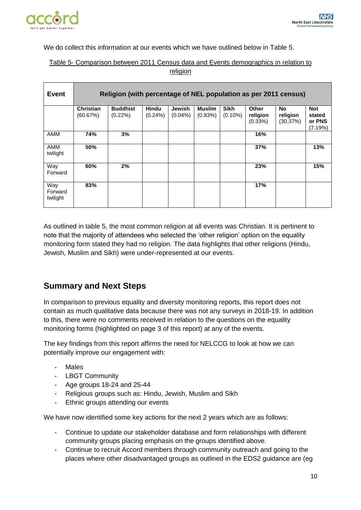

We do collect this information at our events which we have outlined below in Table 5.

#### Table 5- Comparison between 2011 Census data and Events demographics in relation to religion

| <b>Event</b>               | Religion (with percentage of NEL population as per 2011 census) |                            |                     |                      |                          |                           |                                        |                                   |                                           |  |
|----------------------------|-----------------------------------------------------------------|----------------------------|---------------------|----------------------|--------------------------|---------------------------|----------------------------------------|-----------------------------------|-------------------------------------------|--|
|                            | <b>Christian</b><br>(60.67%)                                    | <b>Buddhist</b><br>(0.22%) | Hindu<br>$(0.24\%)$ | Jewish<br>$(0.04\%)$ | <b>Muslim</b><br>(0.83%) | <b>Sikh</b><br>$(0.10\%)$ | <b>Other</b><br>religion<br>$(0.33\%)$ | <b>No</b><br>religion<br>(30.37%) | <b>Not</b><br>stated<br>or PNS<br>(7.19%) |  |
| <b>AMM</b>                 | 74%                                                             | 3%                         |                     |                      |                          |                           | 16%                                    |                                   |                                           |  |
| AMM<br>twilight            | 50%                                                             |                            |                     |                      |                          |                           | 37%                                    |                                   | 13%                                       |  |
| Way<br>Forward             | 60%                                                             | 2%                         |                     |                      |                          |                           | 23%                                    |                                   | 15%                                       |  |
| Way<br>Forward<br>twilight | 83%                                                             |                            |                     |                      |                          |                           | 17%                                    |                                   |                                           |  |

As outlined in table 5, the most common religion at all events was Christian. It is pertinent to note that the majority of attendees who selected the 'other religion' option on the equality monitoring form stated they had no religion. The data highlights that other religions (Hindu, Jewish, Muslim and Sikh) were under-represented at our events.

## **Summary and Next Steps**

In comparison to previous equality and diversity monitoring reports, this report does not contain as much qualitative data because there was not any surveys in 2018-19. In addition to this, there were no comments received in relation to the questions on the equality monitoring forms (highlighted on page 3 of this report) at any of the events.

The key findings from this report affirms the need for NELCCG to look at how we can potentially improve our engagement with:

- **Males**
- LBGT Community
- Age groups 18-24 and 25-44
- Religious groups such as: Hindu, Jewish, Muslim and Sikh
- Ethnic groups attending our events

We have now identified some key actions for the next 2 years which are as follows:

- Continue to update our stakeholder database and form relationships with different community groups placing emphasis on the groups identified above.
- Continue to recruit Accord members through community outreach and going to the places where other disadvantaged groups as outlined in the EDS2 guidance are (eg